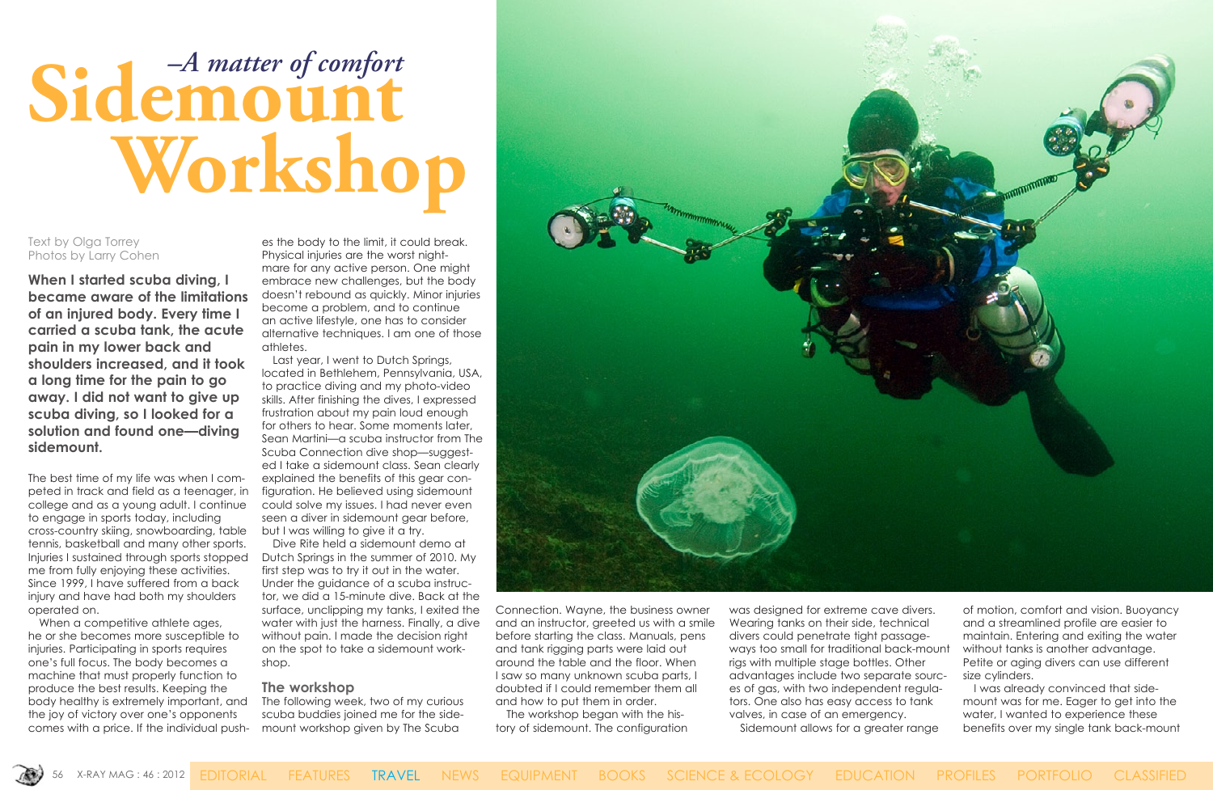

# Sidemount  **Workshop**

Text by Olga Torrey Photos by Larry Cohen

**When I started scuba diving, I became aware of the limitations of an injured body. Every time I carried a scuba tank, the acute pain in my lower back and shoulders increased, and it took a long time for the pain to go away. I did not want to give up scuba diving, so I looked for a solution and found one—diving sidemount.**

The best time of my life was when I competed in track and field as a teenager, in college and as a young adult. I continue to engage in sports today, including cross-country skiing, snowboarding, table tennis, basketball and many other sports. Injuries I sustained through sports stopped me from fully enjoying these activities. Since 1999, I have suffered from a back injury and have had both my shoulders operated on.

When a competitive athlete ages, he or she becomes more susceptible to injuries. Participating in sports requires one's full focus. The body becomes a machine that must properly function to produce the best results. Keeping the body healthy is extremely important, and the joy of victory over one's opponents comes with a price. If the individual pushes the body to the limit, it could break. Physical injuries are the worst nightmare for any active person. One might embrace new challenges, but the body doesn't rebound as quickly. Minor injuries become a problem, and to continue an active lifestyle, one has to consider alternative techniques. I am one of those athletes.

Last year, I went to Dutch Springs, located in Bethlehem, Pennsylvania, USA, to practice diving and my photo-video skills. After finishing the dives, I expressed frustration about my pain loud enough for others to hear. Some moments later, Sean Martini—a scuba instructor from The Scuba Connection dive shop—suggested I take a sidemount class. Sean clearly explained the benefits of this gear configuration. He believed using sidemount could solve my issues. I had never even seen a diver in sidemount gear before, but I was willing to give it a try.

Dive Rite held a sidemount demo at Dutch Springs in the summer of 2010. My first step was to try it out in the water. Under the guidance of a scuba instructor, we did a 15-minute dive. Back at the surface, unclipping my tanks, I exited the water with just the harness. Finally, a dive without pain. I made the decision right on the spot to take a sidemount workshop.

#### **The workshop**

The following week, two of my curious scuba buddies joined me for the sidemount workshop given by The Scuba



Connection. Wayne, the business owner and an instructor, greeted us with a smile before starting the class. Manuals, pens and tank rigging parts were laid out around the table and the floor. When I saw so many unknown scuba parts, I doubted if I could remember them all and how to put them in order.

The workshop began with the history of sidemount. The configuration was designed for extreme cave divers. Wearing tanks on their side, technical divers could penetrate tight passageways too small for traditional back-mount rigs with multiple stage bottles. Other advantages include two separate sources of gas, with two independent regulators. One also has easy access to tank valves, in case of an emergency. Sidemount allows for a greater range

of motion, comfort and vision. Buoyancy and a streamlined profile are easier to maintain. Entering and exiting the water without tanks is another advantage. Petite or aging divers can use different size cylinders.

I was already convinced that sidemount was for me. Eager to get into the water, I wanted to experience these benefits over my single tank back-mount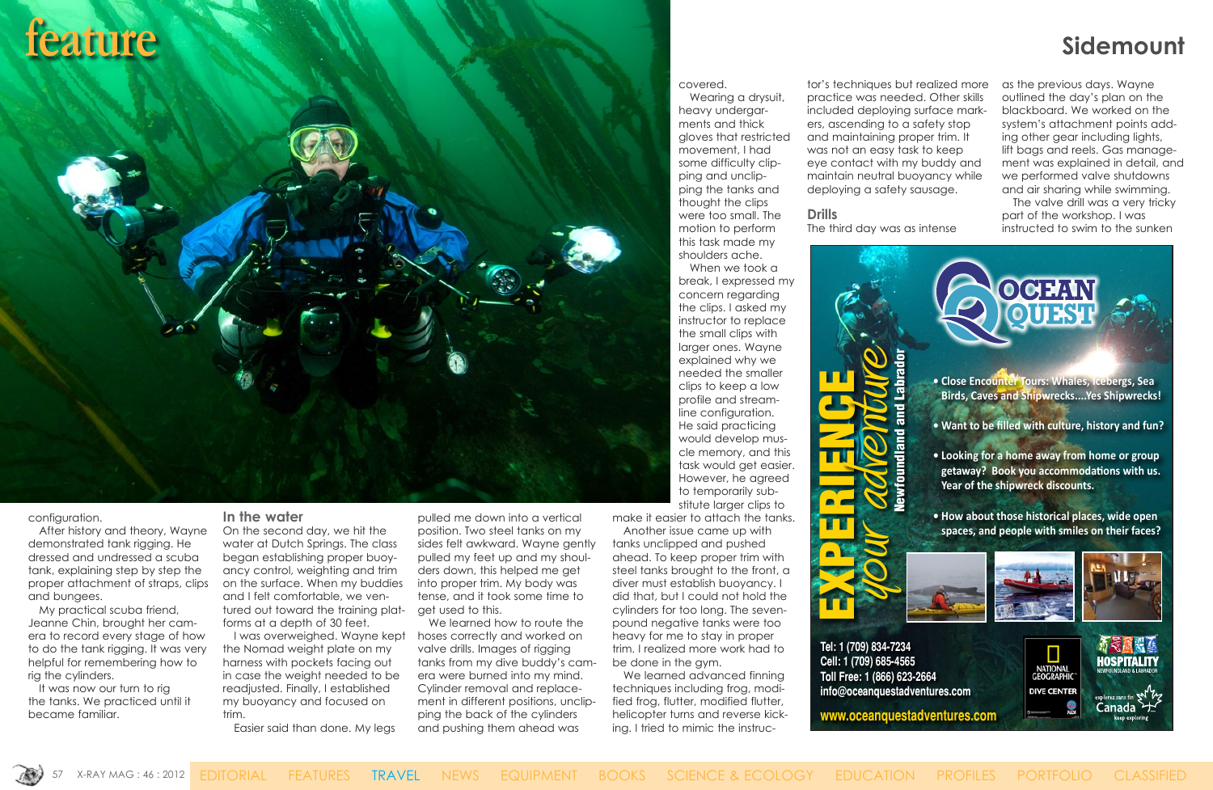## **feature sidemount**

configuration.

After history and theory, Wayne demonstrated tank rigging. He dressed and undressed a scuba tank, explaining step by step the proper attachment of straps, clips and bungees.

My practical scuba friend, Jeanne Chin, brought her camera to record every stage of how to do the tank rigging. It was very helpful for remembering how to rig the cylinders.

It was now our turn to rig the tanks. We practiced until it became familiar.

#### **In the water**

On the second day, we hit the water at Dutch Springs. The class began establishing proper buoyancy control, weighting and trim on the surface. When my buddies and I felt comfortable, we ventured out toward the training platforms at a depth of 30 feet.

I was overweighed. Wayne kept the Nomad weight plate on my harness with pockets facing out in case the weight needed to be readjusted. Finally, I established my buoyancy and focused on trim.

Easier said than done. My legs

pulled me down into a vertical position. Two steel tanks on my sides felt awkward. Wayne gently pulled my feet up and my shoulders down, this helped me get into proper trim. My body was tense, and it took some time to get used to this.

We learned how to route the hoses correctly and worked on valve drills. Images of rigging tanks from my dive buddy's camera were burned into my mind. Cylinder removal and replacement in different positions, unclipping the back of the cylinders and pushing them ahead was

covered.

Wearing a drysuit, heavy undergarments and thick gloves that restricted movement, I had some difficulty clipping and unclipping the tanks and thought the clips were too small. The motion to perform this task made my shoulders ache.

When we took a break, I expressed my concern regarding the clips. I asked my instructor to replace the small clips with larger ones. Wayne explained why we needed the smaller clips to keep a low profile and streamline configuration. He said practicing would develop muscle memory, and this task would get easier. However, he agreed to temporarily substitute larger clips to

make it easier to attach the tanks.

Another issue came up with tanks unclipped and pushed ahead. To keep proper trim with steel tanks brought to the front, a diver must establish buoyancy. I did that, but I could not hold the cylinders for too long. The sevenpound negative tanks were too heavy for me to stay in proper trim. I realized more work had to be done in the gym.

We learned advanced finning techniques including frog, modified frog, flutter, modified flutter, helicopter turns and reverse kicking. I tried to mimic the instruc-

tor's techniques but realized more practice was needed. Other skills included deploying surface markers, ascending to a safety stop and maintaining proper trim. It was not an easy task to keep eye contact with my buddy and maintain neutral buoyancy while deploying a safety sausage.

**Drills** The third day was as intense as the previous days. Wayne outlined the day's plan on the blackboard. We worked on the system's attachment points adding other gear including lights, lift bags and reels. Gas management was explained in detail, and we performed valve shutdowns and air sharing while swimming.

The valve drill was a very tricky part of the workshop. I was instructed to swim to the sunken

Canada ナ

**www.oceanquestadventures.com**